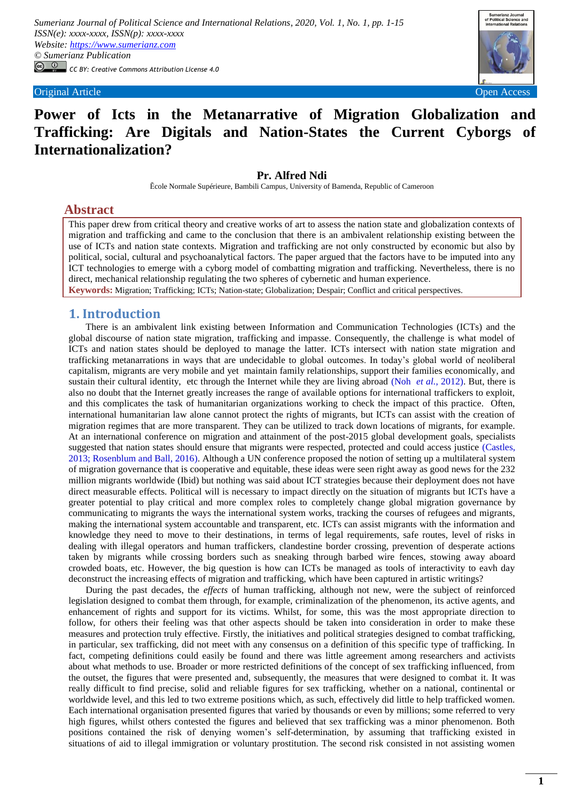*Sumerianz Journal of Political Science and International Relations, 2020, Vol. 1, No. 1, pp. 1-15 ISSN(e): xxxx-xxxx, ISSN(p): xxxx-xxxx Website: https://www.sumerianz.com © Sumerianz Publication CC BY: Creative Commons Attribution License 4.0*



# **Power of Icts in the Metanarrative of Migration Globalization and Trafficking: Are Digitals and Nation-States the Current Cyborgs of Internationalization?**

## **Pr. Alfred Ndi**

Ĕcole Normale Supérieure, Bambili Campus, University of Bamenda, Republic of Cameroon

# **Abstract**

This paper drew from critical theory and creative works of art to assess the nation state and globalization contexts of migration and trafficking and came to the conclusion that there is an ambivalent relationship existing between the use of ICTs and nation state contexts. Migration and trafficking are not only constructed by economic but also by political, social, cultural and psychoanalytical factors. The paper argued that the factors have to be imputed into any ICT technologies to emerge with a cyborg model of combatting migration and trafficking. Nevertheless, there is no direct, mechanical relationship regulating the two spheres of cybernetic and human experience.

**Keywords:** Migration; Trafficking; ICTs; Nation-state; Globalization; Despair; Conflict and critical perspectives.

### **1. Introduction**

There is an ambivalent link existing between Information and Communication Technologies (ICTs) and the global discourse of nation state migration, trafficking and impasse. Consequently, the challenge is what model of ICTs and nation states should be deployed to manage the latter. ICTs intersect with nation state migration and trafficking metanarrations in ways that are undecidable to global outcomes. In today's global world of neoliberal capitalism, migrants are very mobile and yet maintain family relationships, support their families economically, and sustain their cultural identity, etc through the Internet while they are living abroad (Noh *et al.*[, 2012\)](#page-13-0). But, there is also no doubt that the Internet greatly increases the range of available options for international traffickers to exploit, and this complicates the task of humanitarian organizations working to check the impact of this practice. Often, international humanitarian law alone cannot protect the rights of migrants, but ICTs can assist with the creation of migration regimes that are more transparent. They can be utilized to track down locations of migrants, for example. At an international conference on [migration](http://www.scidev.net/global/governance/migration/) and attainment of the post-2015 global development goals, specialists suggested that nation states should ensure that migrants were respected, protected and could access justice [\(Castles,](#page-12-0)  [2013;](#page-12-0) [Rosenblum and Ball, 2016\)](#page-13-1). Although a UN conference proposed the notion of setting up a multilateral system of migration governance that is [cooperative](http://www.scidev.net/global/governance/cooperation/) and equitable, these ideas were seen right away as good news for the 232 million migrants worldwide (Ibid) but nothing was said about ICT strategies because their deployment does not have direct measurable effects. Political will is necessary to impact directly on the situation of migrants but ICTs have a greater potential to play critical and more complex roles to completely change global migration [governance](http://www.scidev.net/global/governance/) by communicating to migrants the ways the international system works, tracking the courses of refugees and migrants, making the international system accountable and transparent, etc. ICTs can assist migrants with the information and knowledge they need to move to their destinations, in terms of legal requirements, safe routes, level of risks in dealing with illegal operators and human traffickers, clandestine border crossing, prevention of desperate actions taken by migrants while crossing borders such as sneaking through barbed wire fences, stowing away aboard crowded boats, etc. However, the big question is how can ICTs be managed as tools of interactivity to eavh day deconstruct the increasing effects of migration and trafficking, which have been captured in artistic writings?

During the past decades, the *effects* of human trafficking, although not new, were the subject of reinforced legislation designed to combat them through, for example, criminalization of the phenomenon, its active agents, and enhancement of rights and support for its victims. Whilst, for some, this was the most appropriate direction to follow, for others their feeling was that other aspects should be taken into consideration in order to make these measures and protection truly effective. Firstly, the initiatives and political strategies designed to combat trafficking, in particular, sex trafficking, did not meet with any consensus on a definition of this specific type of trafficking. In fact, competing definitions could easily be found and there was little agreement among researchers and activists about what methods to use. Broader or more restricted definitions of the concept of sex trafficking influenced, from the outset, the figures that were presented and, subsequently, the measures that were designed to combat it. It was really difficult to find precise, solid and reliable figures for sex trafficking, whether on a national, continental or worldwide level, and this led to two extreme positions which, as such, effectively did little to help trafficked women. Each international organisation presented figures that varied by thousands or even by millions; some referred to very high figures, whilst others contested the figures and believed that sex trafficking was a minor phenomenon. Both positions contained the risk of denying women's self-determination, by assuming that trafficking existed in situations of aid to illegal immigration or voluntary prostitution. The second risk consisted in not assisting women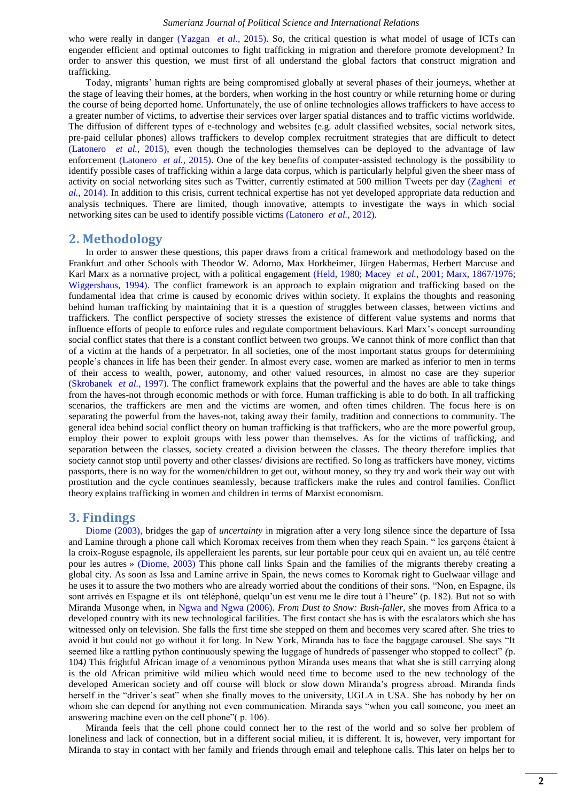who were really in danger [\(Yazgan](#page-13-2) *et al.*, 2015). So, the critical question is what model of usage of ICTs can engender efficient and optimal outcomes to fight trafficking in migration and therefore promote development? In order to answer this question, we must first of all understand the global factors that construct migration and trafficking.

Today, migrants' human rights are being compromised globally at several phases of their journeys, whether at the stage of leaving their homes, at the borders, when working in the host country or while returning home or during the course of being deported home. Unfortunately, the use of online technologies allows traffickers to have access to a greater number of victims, to advertise their services over larger spatial distances and to traffic victims worldwide. The diffusion of different types of e-technology and websites (e.g. adult classified websites, social network sites, pre‐paid cellular phones) allows traffickers to develop complex recruitment strategies that are difficult to detect [\(Latonero](#page-13-3) *et al.*, 2015), even though the technologies themselves can be deployed to the advantage of law enforcement [\(Latonero](#page-13-3) *et al.*, 2015). One of the key benefits of computer-assisted technology is the possibility to identify possible cases of trafficking within a large data corpus, which is particularly helpful given the sheer mass of activity on social networking sites such as Twitter, currently estimated at 500 million Tweets per day [\(Zagheni](#page-14-0) *et al.*[, 2014\)](#page-14-0). In addition to this crisis, current technical expertise has not yet developed appropriate data reduction and analysis techniques. There are limited, though innovative, attempts to investigate the ways in which social networking sites can be used to identify possible victims [\(Latonero](#page-13-4) *et al.*, 2012).

### **2. Methodology**

In order to answer these questions, this paper draws from a critical framework and methodology based on the Frankfurt and other Schools with Theodor W. Adorno, Max Horkheimer, Jürgen Habermas, Herbert Marcuse and Karl Marx as a normative project, with a political engagement [\(Held, 1980;](#page-13-5) [Macey](#page-13-6) *et al.*, 2001; [Marx, 1867/1976;](#page-13-7) [Wiggershaus, 1994\)](#page-13-8). The conflict framework is an approach to explain migration and trafficking based on the fundamental idea that crime is caused by economic drives within society. It explains the thoughts and reasoning behind human trafficking by maintaining that it is a question of struggles between classes, between victims and traffickers. The conflict perspective of society stresses the existence of different value systems and norms that influence efforts of people to enforce rules and regulate comportment behaviours. Karl Marx's concept surrounding social conflict states that there is a constant conflict between two groups. We cannot think of more conflict than that of a victim at the hands of a perpetrator. In all societies, one of the most important status groups for determining people's chances in life has been their gender. In almost every case, women are marked as inferior to men in terms of their access to wealth, power, autonomy, and other valued resources, in almost no case are they superior [\(Skrobanek](#page-13-9) *et al.*, 1997). The conflict framework explains that the powerful and the haves are able to take things from the haves-not through economic methods or with force. Human trafficking is able to do both. In all trafficking scenarios, the traffickers are men and the victims are women, and often times children. The focus here is on separating the powerful from the haves-not, taking away their family, tradition and connections to community. The general idea behind social conflict theory on human trafficking is that traffickers, who are the more powerful group, employ their power to exploit groups with less power than themselves. As for the victims of trafficking, and separation between the classes, society created a division between the classes. The theory therefore implies that society cannot stop until poverty and other classes/ divisions are rectified. So long as traffickers have money, victims passports, there is no way for the women/children to get out, without money, so they try and work their way out with prostitution and the cycle continues seamlessly, because traffickers make the rules and control families. Conflict theory explains trafficking in women and children in terms of Marxist economism.

# **3. Findings**

[Diome \(2003\),](#page-13-10) bridges the gap of *uncertainty* in migration after a very long silence since the departure of Issa and Lamine through a phone call which Koromax receives from them when they reach Spain. " les garçons étaient à la croix-Roguse espagnole, ils appelleraient les parents, sur leur portable pour ceux qui en avaient un, au télé centre pour les autres » [\(Diome, 2003\)](#page-13-10) This phone call links Spain and the families of the migrants thereby creating a global city. As soon as Issa and Lamine arrive in Spain, the news comes to Koromak right to Guelwaar village and he uses it to assure the two mothers who are already worried about the conditions of their sons. "Non, en Espagne, ils sont arrivés en Espagne et ils ont téléphoné, quelqu'un est venu me le dire tout à l'heure" (p. 182). But not so with Miranda Musonge when, in [Ngwa and Ngwa \(2006\).](#page-13-11) *From Dust to Snow: Bush-faller*, she moves from Africa to a developed country with its new technological facilities. The first contact she has is with the escalators which she has witnessed only on television. She falls the first time she stepped on them and becomes very scared after. She tries to avoid it but could not go without it for long. In New York, Miranda has to face the baggage carousel. She says "It seemed like a rattling python continuously spewing the luggage of hundreds of passenger who stopped to collect" *(p.*) 104*)* This frightful African image of a venominous python Miranda uses means that what she is still carrying along is the old African primitive wild milieu which would need time to become used to the new technology of the developed American society and off course will block or slow down Miranda's progress abroad. Miranda finds herself in the "driver's seat" when she finally moves to the university, UGLA in USA. She has nobody by her on whom she can depend for anything not even communication. Miranda says "when you call someone, you meet an answering machine even on the cell phone" $($  p. 106).

Miranda feels that the cell phone could connect her to the rest of the world and so solve her problem of loneliness and lack of connection, but in a different social milieu, it is different. It is, however, very important for Miranda to stay in contact with her family and friends through email and telephone calls. This later on helps her to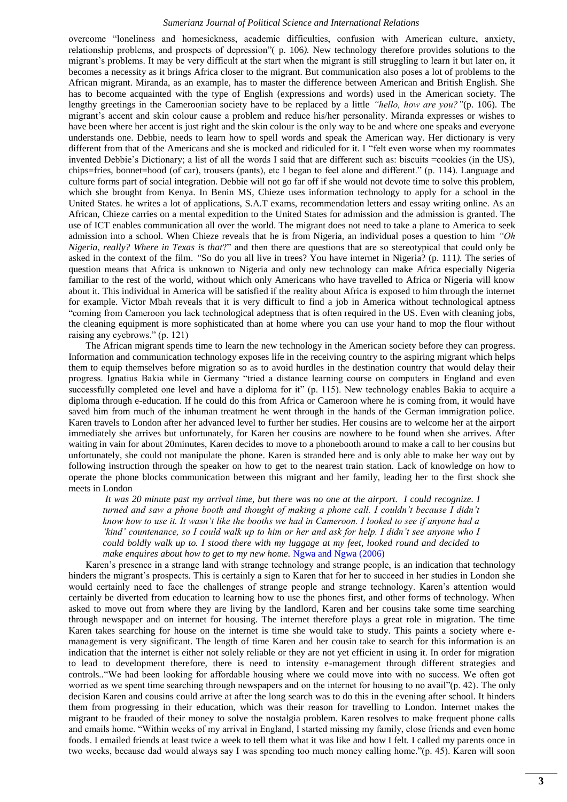overcome "loneliness and homesickness, academic difficulties, confusion with American culture, anxiety, relationship problems, and prospects of depression<sup>"</sup>(p. 106). New technology therefore provides solutions to the migrant's problems. It may be very difficult at the start when the migrant is still struggling to learn it but later on, it becomes a necessity as it brings Africa closer to the migrant. But communication also poses a lot of problems to the African migrant. Miranda, as an example, has to master the difference between American and British English. She has to become acquainted with the type of English (expressions and words) used in the American society. The lengthy greetings in the Cameroonian society have to be replaced by a little *"hello, how are you?"*(p. 106). The migrant's accent and skin colour cause a problem and reduce his/her personality. Miranda expresses or wishes to have been where her accent is just right and the skin colour is the only way to be and where one speaks and everyone understands one. Debbie, needs to learn how to spell words and speak the American way. Her dictionary is very different from that of the Americans and she is mocked and ridiculed for it. I "felt even worse when my roommates invented Debbie's Dictionary; a list of all the words I said that are different such as: biscuits =cookies (in the US), chips=fries, bonnet=hood (of car), trousers (pants), etc I began to feel alone and different." (p. 114). Language and culture forms part of social integration. Debbie will not go far off if she would not devote time to solve this problem, which she brought from Kenya. In Benin MS, Chieze uses information technology to apply for a school in the United States. he writes a lot of applications, S.A.T exams, recommendation letters and essay writing online. As an African, Chieze carries on a mental expedition to the United States for admission and the admission is granted. The use of ICT enables communication all over the world. The migrant does not need to take a plane to America to seek admission into a school. When Chieze reveals that he is from Nigeria, an individual poses a question to him *"Oh Nigeria, really? Where in Texas is that*?‖ and then there are questions that are so stereotypical that could only be asked in the context of the film. *"*So do you all live in trees? You have internet in Nigeria? (p. 111*).* The series of question means that Africa is unknown to Nigeria and only new technology can make Africa especially Nigeria familiar to the rest of the world, without which only Americans who have travelled to Africa or Nigeria will know about it. This individual in America will be satisfied if the reality about Africa is exposed to him through the internet for example. Victor Mbah reveals that it is very difficult to find a job in America without technological aptness ―coming from Cameroon you lack technological adeptness that is often required in the US. Even with cleaning jobs, the cleaning equipment is more sophisticated than at home where you can use your hand to mop the flour without raising any eyebrows." (p. 121)

The African migrant spends time to learn the new technology in the American society before they can progress. Information and communication technology exposes life in the receiving country to the aspiring migrant which helps them to equip themselves before migration so as to avoid hurdles in the destination country that would delay their progress. Ignatius Bakia while in Germany "tried a distance learning course on computers in England and even successfully completed one level and have a diploma for it" (p. 115). New technology enables Bakia to acquire a diploma through e-education. If he could do this from Africa or Cameroon where he is coming from, it would have saved him from much of the inhuman treatment he went through in the hands of the German immigration police. Karen travels to London after her advanced level to further her studies. Her cousins are to welcome her at the airport immediately she arrives but unfortunately, for Karen her cousins are nowhere to be found when she arrives. After waiting in vain for about 20minutes, Karen decides to move to a phonebooth around to make a call to her cousins but unfortunately, she could not manipulate the phone. Karen is stranded here and is only able to make her way out by following instruction through the speaker on how to get to the nearest train station. Lack of knowledge on how to operate the phone blocks communication between this migrant and her family, leading her to the first shock she meets in London

*It was 20 minute past my arrival time, but there was no one at the airport. I could recognize. I turned and saw a phone booth and thought of making a phone call. I couldn"t because I didn"t know how to use it. It wasn"t like the booths we had in Cameroon. I looked to see if anyone had a "kind" countenance, so I could walk up to him or her and ask for help. I didn"t see anyone who I could boldly walk up to. I stood there with my luggage at my feet, looked round and decided to make enquires about how to get to my new home.* [Ngwa and Ngwa \(2006\)](#page-13-11)

Karen's presence in a strange land with strange technology and strange people, is an indication that technology hinders the migrant's prospects. This is certainly a sign to Karen that for her to succeed in her studies in London she would certainly need to face the challenges of strange people and strange technology. Karen's attention would certainly be diverted from education to learning how to use the phones first, and other forms of technology. When asked to move out from where they are living by the landlord, Karen and her cousins take some time searching through newspaper and on internet for housing. The internet therefore plays a great role in migration. The time Karen takes searching for house on the internet is time she would take to study. This paints a society where emanagement is very significant. The length of time Karen and her cousin take to search for this information is an indication that the internet is either not solely reliable or they are not yet efficient in using it. In order for migration to lead to development therefore, there is need to intensity e-management through different strategies and controls.."We had been looking for affordable housing where we could move into with no success. We often got worried as we spent time searching through newspapers and on the internet for housing to no avail"(p. 42). The only decision Karen and cousins could arrive at after the long search was to do this in the evening after school. It hinders them from progressing in their education, which was their reason for travelling to London. Internet makes the migrant to be frauded of their money to solve the nostalgia problem. Karen resolves to make frequent phone calls and emails home. "Within weeks of my arrival in England, I started missing my family, close friends and even home foods. I emailed friends at least twice a week to tell them what it was like and how I felt. I called my parents once in two weeks, because dad would always say I was spending too much money calling home."(p. 45). Karen will soon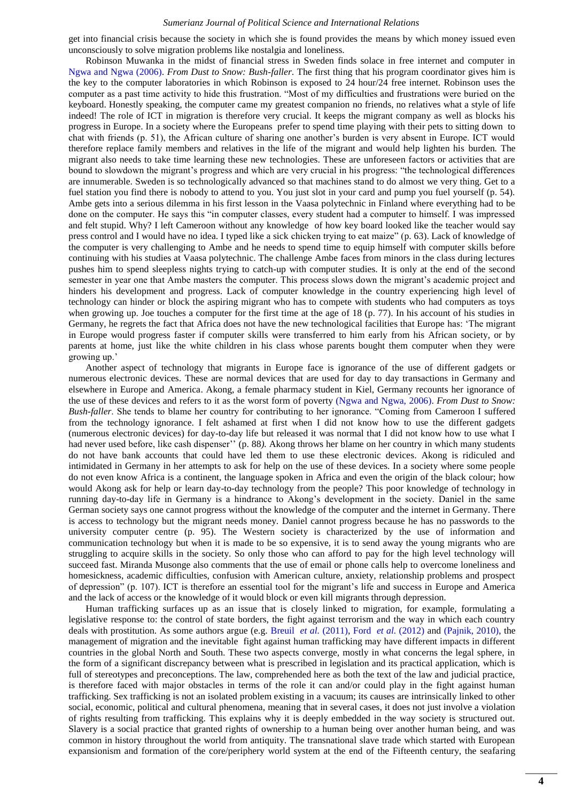get into financial crisis because the society in which she is found provides the means by which money issued even unconsciously to solve migration problems like nostalgia and loneliness.

Robinson Muwanka in the midst of financial stress in Sweden finds solace in free internet and computer in [Ngwa and Ngwa \(2006\).](#page-13-11) *From Dust to Snow: Bush-faller*. The first thing that his program coordinator gives him is the key to the computer laboratories in which Robinson is exposed to 24 hour/24 free internet. Robinson uses the computer as a past time activity to hide this frustration. "Most of my difficulties and frustrations were buried on the keyboard. Honestly speaking, the computer came my greatest companion no friends, no relatives what a style of life indeed! The role of ICT in migration is therefore very crucial. It keeps the migrant company as well as blocks his progress in Europe. In a society where the Europeans prefer to spend time playing with their pets to sitting down to chat with friends (p. 51), the African culture of sharing one another's burden is very absent in Europe. ICT would therefore replace family members and relatives in the life of the migrant and would help lighten his burden*.* The migrant also needs to take time learning these new technologies. These are unforeseen factors or activities that are bound to slowdown the migrant's progress and which are very crucial in his progress: "the technological differences are innumerable. Sweden is so technologically advanced so that machines stand to do almost we very thing. Get to a fuel station you find there is nobody to attend to you. You just slot in your card and pump you fuel yourself (p. 54). Ambe gets into a serious dilemma in his first lesson in the Vaasa polytechnic in Finland where everything had to be done on the computer. He says this "in computer classes, every student had a computer to himself. I was impressed and felt stupid. Why? I left Cameroon without any knowledge of how key board looked like the teacher would say press control and I would have no idea. I typed like a sick chicken trying to eat maize" (p. 63). Lack of knowledge of the computer is very challenging to Ambe and he needs to spend time to equip himself with computer skills before continuing with his studies at Vaasa polytechnic. The challenge Ambe faces from minors in the class during lectures pushes him to spend sleepless nights trying to catch-up with computer studies. It is only at the end of the second semester in year one that Ambe masters the computer. This process slows down the migrant's academic project and hinders his development and progress. Lack of computer knowledge in the country experiencing high level of technology can hinder or block the aspiring migrant who has to compete with students who had computers as toys when growing up. Joe touches a computer for the first time at the age of 18 (p. 77). In his account of his studies in Germany, he regrets the fact that Africa does not have the new technological facilities that Europe has: ‗The migrant in Europe would progress faster if computer skills were transferred to him early from his African society, or by parents at home, just like the white children in his class whose parents bought them computer when they were growing up.'

Another aspect of technology that migrants in Europe face is ignorance of the use of different gadgets or numerous electronic devices. These are normal devices that are used for day to day transactions in Germany and elsewhere in Europe and America. Akong, a female pharmacy student in Kiel, Germany recounts her ignorance of the use of these devices and refers to it as the worst form of poverty [\(Ngwa and Ngwa, 2006\)](#page-13-11). *From Dust to Snow: Bush-faller*. She tends to blame her country for contributing to her ignorance. "Coming from Cameroon I suffered from the technology ignorance. I felt ashamed at first when I did not know how to use the different gadgets (numerous electronic devices) for day-to-day life but released it was normal that I did not know how to use what I had never used before, like cash dispenser'' (p. 88*).* Akong throws her blame on her country in which many students do not have bank accounts that could have led them to use these electronic devices. Akong is ridiculed and intimidated in Germany in her attempts to ask for help on the use of these devices. In a society where some people do not even know Africa is a continent, the language spoken in Africa and even the origin of the black colour; how would Akong ask for help or learn day-to-day technology from the people? This poor knowledge of technology in running day-to-day life in Germany is a hindrance to Akong's development in the society. Daniel in the same German society says one cannot progress without the knowledge of the computer and the internet in Germany. There is access to technology but the migrant needs money. Daniel cannot progress because he has no passwords to the university computer centre (p. 95). The Western society is characterized by the use of information and communication technology but when it is made to be so expensive, it is to send away the young migrants who are struggling to acquire skills in the society. So only those who can afford to pay for the high level technology will succeed fast. Miranda Musonge also comments that the use of email or phone calls help to overcome loneliness and homesickness, academic difficulties, confusion with American culture, anxiety, relationship problems and prospect of depression‖ (p. 107). ICT is therefore an essential tool for the migrant's life and success in Europe and America and the lack of access or the knowledge of it would block or even kill migrants through depression.

Human trafficking surfaces up as an issue that is closely linked to migration, for example, formulating a legislative response to: the control of state borders, the fight against terrorism and the way in which each country deals with prostitution. As some authors argue (e.g. Breuil *et al.* [\(2011\),](#page-12-1) Ford *et al.* [\(2012\)](#page-13-12) and [\(Pajnik, 2010\)](#page-13-13), the management of migration and the inevitable fight against human trafficking may have different impacts in different countries in the global North and South. These two aspects converge, mostly in what concerns the legal sphere, in the form of a significant discrepancy between what is prescribed in legislation and its practical application, which is full of stereotypes and preconceptions. The law, comprehended here as both the text of the law and judicial practice, is therefore faced with major obstacles in terms of the role it can and/or could play in the fight against human trafficking. Sex trafficking is not an isolated problem existing in a vacuum; its causes are intrinsically linked to other social, economic, political and cultural phenomena, meaning that in several cases, it does not just involve a violation of rights resulting from trafficking. This explains why it is deeply embedded in the way society is structured out. Slavery is a social practice that granted rights of ownership to a human being over another human being, and was common in history throughout the world from antiquity. The transnational slave trade which started with European expansionism and formation of the core/periphery world system at the end of the Fifteenth century, the seafaring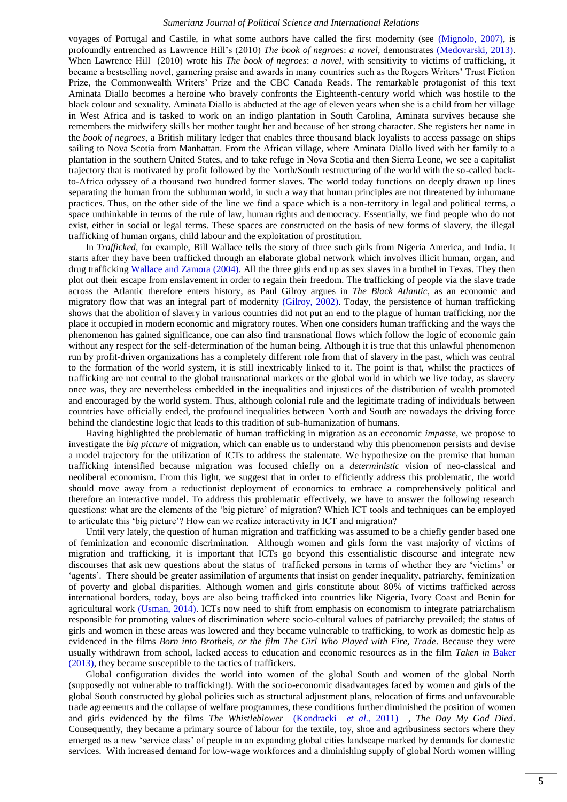voyages of Portugal and Castile, in what some authors have called the first modernity (see [\(Mignolo, 2007\)](#page-13-14), is profoundly entrenched as [Lawrence Hill'](https://www.google.cm/search?tbo=p&tbm=bks&q=inauthor:%22Lawrence+Hill%22)s (2010) *The book of negroes*: *a novel*, demonstrates [\(Medovarski, 2013\)](#page-13-15). When [Lawrence Hill](https://www.google.cm/search?tbo=p&tbm=bks&q=inauthor:%22Lawrence+Hill%22) (2010) wrote his *The book of negroes*: *a novel*, with sensitivity to victims of trafficking, it became a bestselling novel, garnering praise and awards in many countries such as the Rogers Writers' Trust Fiction Prize, the Commonwealth Writers' Prize and the CBC Canada Reads. The remarkable protagonist of this text Aminata Diallo becomes a heroine who bravely confronts the Eighteenth-century world which was hostile to the black colour and sexuality. Aminata Diallo is abducted at the age of eleven years when she is a child from her village in West Africa and is tasked to work on an indigo plantation in South Carolina, Aminata survives because she remembers the midwifery skills her mother taught her and because of her strong character. She registers her name in the *book of negroes*, a British military ledger that enables three thousand black loyalists to access passage on ships sailing to Nova Scotia from Manhattan. From the African village, where Aminata Diallo lived with her family to a plantation in the southern United States, and to take refuge in Nova Scotia and then Sierra Leone, we see a capitalist trajectory that is motivated by profit followed by the North/South restructuring of the world with the so-called backto-Africa odyssey of a thousand two hundred former slaves. The world today functions on deeply drawn up lines separating the human from the subhuman world, in such a way that human principles are not threatened by inhumane practices. Thus, on the other side of the line we find a space which is a non-territory in legal and political terms, a space unthinkable in terms of the rule of law, human rights and democracy. Essentially, we find people who do not exist, either in social or legal terms. These spaces are constructed on the basis of new forms of slavery, the illegal trafficking of human organs, child labour and the exploitation of prostitution.

In *Trafficked*, for example, [Bill Wallace](http://www.imdb.com/name/nm0003930?ref_=tt_ov_dr) tells the story of three such girls from Nigeria America, and India. It starts after they have been trafficked through an elaborate global network which involves illicit human, organ, and drug trafficking [Wallace and Zamora \(2004\).](#page-13-16) All the three girls end up as sex slaves in a brothel in Texas. They then plot out their escape from enslavement in order to regain their freedom. The trafficking of people via the slave trade across the Atlantic therefore enters history, as Paul Gilroy argues in *The Black Atlantic*, as an economic and migratory flow that was an integral part of modernity [\(Gilroy, 2002\)](#page-13-17). Today, the persistence of human trafficking shows that the abolition of slavery in various countries did not put an end to the plague of human trafficking, nor the place it occupied in modern economic and migratory routes. When one considers human trafficking and the ways the phenomenon has gained significance, one can also find transnational flows which follow the logic of economic gain without any respect for the self-determination of the human being. Although it is true that this unlawful phenomenon run by profit-driven organizations has a completely different role from that of slavery in the past, which was central to the formation of the world system, it is still inextricably linked to it. The point is that, whilst the practices of trafficking are not central to the global transnational markets or the global world in which we live today, as slavery once was, they are nevertheless embedded in the inequalities and injustices of the distribution of wealth promoted and encouraged by the world system. Thus, although colonial rule and the legitimate trading of individuals between countries have officially ended, the profound inequalities between North and South are nowadays the driving force behind the clandestine logic that leads to this tradition of sub-humanization of humans.

Having highlighted the problematic of human trafficking in migration as an ecconomic *impasse*, we propose to investigate the *big picture* of migration, which can enable us to understand why this phenomenon persists and devise a model trajectory for the utilization of ICTs to address the stalemate. We hypothesize on the premise that human trafficking intensified because migration was focused chiefly on a *deterministic* vision of neo-classical and neoliberal economism. From this light, we suggest that in order to efficiently address this problematic, the world should move away from a reductionist deployment of economics to embrace a comprehensively political and therefore an interactive model. To address this problematic effectively, we have to answer the following research questions: what are the elements of the ‗big picture' of migration? Which ICT tools and techniques can be employed to articulate this ‗big picture'? How can we realize interactivity in ICT and migration?

Until very lately, the question of human migration and trafficking was assumed to be a chiefly gender based one of feminization and economic discrimination. Although women and girls form the vast majority of victims of migration and trafficking, it is important that ICTs go beyond this essentialistic discourse and integrate new discourses that ask new questions about the status of trafficked persons in terms of whether they are 'victims' or 'agents'. There should be greater assimilation of arguments that insist on gender inequality, patriarchy, feminization of poverty and global disparities. Although women and girls constitute about 80% of victims trafficked across international borders, today, boys are also being trafficked into countries like Nigeria, Ivory Coast and Benin for agricultural work [\(Usman, 2014\)](#page-13-18). ICTs now need to shift from emphasis on economism to integrate patriarchalism responsible for promoting values of discrimination where socio-cultural values of patriarchy prevailed; the status of girls and women in these areas was lowered and they became vulnerable to trafficking, to work as domestic help as evidenced in the films *Born into Brothels, or the film The Girl Who Played with Fire, Trade*. Because they were usually withdrawn from school, lacked access to education and economic resources as in the film *Taken in* [Baker](#page-12-2)  (2013), they became susceptible to the tactics of traffickers.

Global configuration divides the world into women of the global South and women of the global North (supposedly not vulnerable to trafficking!). With the socio-economic disadvantages faced by women and girls of the global South constructed by global policies such as structural adjustment plans, relocation of firms and unfavourable trade agreements and the collapse of welfare programmes, these conditions further diminished the position of women and girls evidenced by the films *The Whistleblower* [\(Kondracki](#page-13-19) *et al.,* 2011) *, The Day My God Died*. Consequently, they became a primary source of labour for the textile, toy, shoe and agribusiness sectors where they emerged as a new 'service class' of people in an expanding global cities landscape marked by demands for domestic services. With increased demand for low-wage workforces and a diminishing supply of global North women willing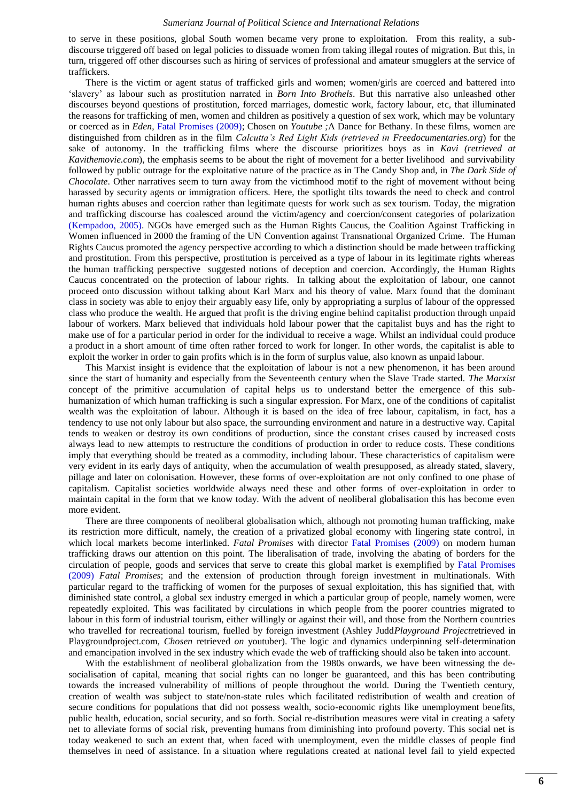to serve in these positions, global South women became very prone to exploitation. From this reality, a subdiscourse triggered off based on legal policies to dissuade women from taking illegal routes of migration. But this, in turn, triggered off other discourses such as hiring of services of professional and amateur smugglers at the service of traffickers.

There is the victim or agent status of trafficked girls and women; women/girls are coerced and battered into ‗slavery' as labour such as prostitution narrated in *Born Into Brothels*. But this narrative also unleashed other discourses beyond questions of prostitution, forced marriages, domestic work, factory labour, etc, that illuminated the reasons for trafficking of men, women and children as positively a question of sex work, which may be voluntary or coerced as in *Eden*, [Fatal Promises \(2009\);](#page-13-20) Chosen on *Youtube ;*A Dance for Bethany. In these films, women are distinguished from children as in the film *Calcutta"s Red Light Kids (retrieved in Freedocumentaries.org*) for the sake of autonomy. In the trafficking films where the discourse prioritizes boys as in *Kavi (retrieved at Kavithemovie.com*), the emphasis seems to be about the right of movement for a better livelihood and survivability followed by public outrage for the exploitative nature of the practice as in The Candy Shop and, in *The Dark Side of Chocolate*. Other narratives seem to turn away from the victimhood motif to the right of movement without being harassed by security agents or immigration officers. Here, the spotlight tilts towards the need to check and control human rights abuses and coercion rather than legitimate quests for work such as sex tourism. Today, the migration and trafficking discourse has coalesced around the victim/agency and coercion/consent categories of polarization [\(Kempadoo, 2005\)](#page-13-21). NGOs have emerged such as the Human Rights Caucus, the Coalition Against Trafficking in Women influenced in 2000 the framing of the UN Convention against Transnational Organized Crime. The Human Rights Caucus promoted the agency perspective according to which a distinction should be made between trafficking and prostitution. From this perspective, prostitution is perceived as a type of labour in its legitimate rights whereas the human trafficking perspective suggested notions of deception and coercion. Accordingly, the Human Rights Caucus concentrated on the protection of labour rights. In talking about the exploitation of labour, one cannot proceed onto discussion without talking about Karl Marx and his theory of value. Marx found that the dominant class in society was able to enjoy their arguably easy life, only by appropriating a surplus of labour of the oppressed class who produce the wealth. He argued that profit is the driving engine behind capitalist production through unpaid labour of workers. Marx believed that individuals hold labour power that the capitalist buys and has the right to make use of for a particular period in order for the individual to receive a wage. Whilst an individual could produce a product in a short amount of time often rather forced to work for longer. In other words, the capitalist is able to exploit the worker in order to gain profits which is in the form of surplus value, also known as unpaid labour.

This Marxist insight is evidence that the exploitation of labour is not a new phenomenon, it has been around since the start of humanity and especially from the Seventeenth century when the Slave Trade started. *The Marxist* concept of the primitive accumulation of capital helps us to understand better the emergence of this subhumanization of which human trafficking is such a singular expression. For Marx, one of the conditions of capitalist wealth was the exploitation of labour. Although it is based on the idea of free labour, capitalism, in fact, has a tendency to use not only labour but also space, the surrounding environment and nature in a destructive way. Capital tends to weaken or destroy its own conditions of production, since the constant crises caused by increased costs always lead to new attempts to restructure the conditions of production in order to reduce costs. These conditions imply that everything should be treated as a commodity, including labour. These characteristics of capitalism were very evident in its early days of antiquity, when the accumulation of wealth presupposed, as already stated, slavery, pillage and later on colonisation. However, these forms of over-exploitation are not only confined to one phase of capitalism. Capitalist societies worldwide always need these and other forms of over-exploitation in order to maintain capital in the form that we know today. With the advent of neoliberal globalisation this has become even more evident.

There are three components of neoliberal globalisation which, although not promoting human trafficking, make its restriction more difficult, namely, the creation of a privatized global economy with lingering state control, in which local markets become interlinked. *Fatal Promises* with director [Fatal Promises \(2009\)](#page-13-20) on modern human trafficking draws our attention on this point. The liberalisation of trade, involving the abating of borders for the circulation of people, goods and services that serve to create this global market is exemplified by [Fatal Promises](#page-13-20)  (2009) *Fatal Promises*; and the extension of production through foreign investment in multinationals. With particular regard to the trafficking of women for the purposes of sexual exploitation, this has signified that, with diminished state control, a global sex industry emerged in which a particular group of people, namely women, were repeatedly exploited. This was facilitated by circulations in which people from the poorer countries migrated to labour in this form of industrial tourism, either willingly or against their will, and those from the Northern countries who travelled for recreational tourism, fuelled by foreign investment (Ashley Judd*Playground Project*retrieved in Playgroundproject.com, *Chosen* retrieved *on* youtuber). The logic and dynamics underpinning self-determination and emancipation involved in the sex industry which evade the web of trafficking should also be taken into account.

With the establishment of neoliberal globalization from the 1980s onwards, we have been witnessing the desocialisation of capital, meaning that social rights can no longer be guaranteed, and this has been contributing towards the increased vulnerability of millions of people throughout the world. During the Twentieth century, creation of wealth was subject to state/non-state rules which facilitated redistribution of wealth and creation of secure conditions for populations that did not possess wealth, socio-economic rights like unemployment benefits, public health, education, social security, and so forth. Social re-distribution measures were vital in creating a safety net to alleviate forms of social risk, preventing humans from diminishing into profound poverty. This social net is today weakened to such an extent that, when faced with unemployment, even the middle classes of people find themselves in need of assistance. In a situation where regulations created at national level fail to yield expected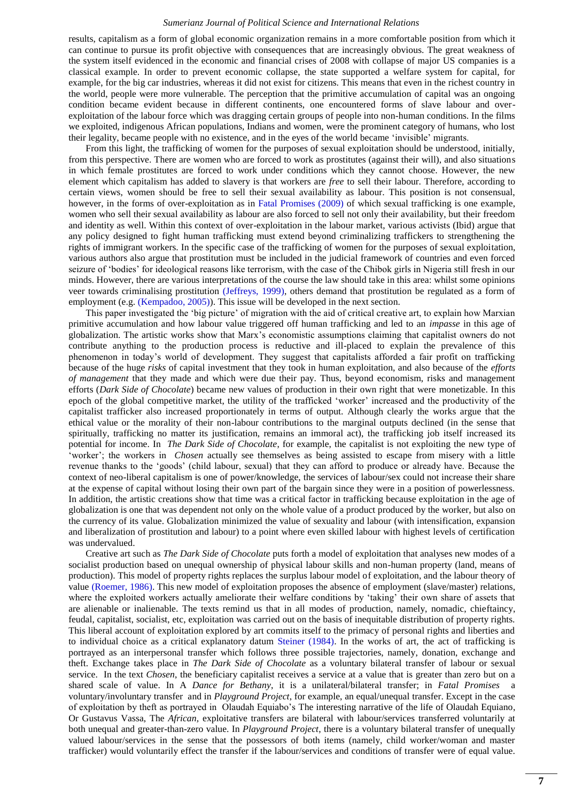results, capitalism as a form of global economic organization remains in a more comfortable position from which it can continue to pursue its profit objective with consequences that are increasingly obvious. The great weakness of the system itself evidenced in the economic and financial crises of 2008 with collapse of major US companies is a classical example. In order to prevent economic collapse, the state supported a welfare system for capital, for example, for the big car industries, whereas it did not exist for citizens. This means that even in the richest country in the world, people were more vulnerable. The perception that the primitive accumulation of capital was an ongoing condition became evident because in different continents, one encountered forms of slave labour and overexploitation of the labour force which was dragging certain groups of people into non-human conditions. In the films we exploited, indigenous African populations, Indians and women, were the prominent category of humans, who lost their legality, became people with no existence, and in the eyes of the world became ‗invisible' migrants.

From this light, the trafficking of women for the purposes of sexual exploitation should be understood, initially, from this perspective. There are women who are forced to work as prostitutes (against their will), and also situations in which female prostitutes are forced to work under conditions which they cannot choose. However, the new element which capitalism has added to slavery is that workers are *free* to sell their labour. Therefore, according to certain views, women should be free to sell their sexual availability as labour. This position is not consensual, however, in the forms of over-exploitation as in [Fatal Promises \(2009\)](#page-13-20) of which sexual trafficking is one example, women who sell their sexual availability as labour are also forced to sell not only their availability, but their freedom and identity as well. Within this context of over-exploitation in the labour market, various activists (Ibid) argue that any policy designed to fight human trafficking must extend beyond criminalizing traffickers to strengthening the rights of immigrant workers. In the specific case of the trafficking of women for the purposes of sexual exploitation, various authors also argue that prostitution must be included in the judicial framework of countries and even forced seizure of ‗bodies' for ideological reasons like terrorism, with the case of the Chibok girls in Nigeria still fresh in our minds. However, there are various interpretations of the course the law should take in this area: whilst some opinions veer towards criminalising prostitution [\(Jeffreys, 1999\)](#page-13-22), others demand that prostitution be regulated as a form of employment (e.g. [\(Kempadoo, 2005\)](#page-13-21)). This issue will be developed in the next section.

This paper investigated the 'big picture' of migration with the aid of critical creative art, to explain how Marxian primitive accumulation and how labour value triggered off human trafficking and led to an *impasse* in this age of globalization. The artistic works show that Marx's economistic assumptions claiming that capitalist owners do not contribute anything to the production process is reductive and ill-placed to explain the prevalence of this phenomenon in today's world of development. They suggest that capitalists afforded a fair profit on trafficking because of the huge *risks* of capital investment that they took in human exploitation, and also because of the *efforts of management* that they made and which were due their pay. Thus, beyond economism, risks and management efforts (*Dark Side of Chocolate*) became new values of production in their own right that were monetizable. In this epoch of the global competitive market, the [utility of the t](https://en.wikipedia.org/wiki/Marginal_utility)rafficked ‗worker' increased and the productivity of the capitalist trafficker also increased proportionately in terms of output. Although clearly the works argue that the ethical value or the morality of their non-labour contributions to the marginal outputs declined (in the sense that spiritually, trafficking no matter its justification, remains an immoral act), the trafficking job itself [increased its](https://en.wikipedia.org/wiki/Unearned_income)  [potential for income.](https://en.wikipedia.org/wiki/Unearned_income) In *The Dark Side of Chocolate*, for example, the capitalist is not exploiting the new type of ‗worker'; the workers in *Chosen* actually see themselves as being assisted to escape from misery with a little revenue thanks to the ‗goods' (child labour, sexual) that they can afford to produce or already have. Because the context of neo-liberal capitalism is one of power/knowledge, the services of labour/sex could not increase their share at the expense of capital without losing their own part of the bargain since they were in a position of powerlessness. In addition, the artistic creations show that time was a critical factor in trafficking because exploitation in the age of globalization is one that was dependent not only on the whole value of a product produced by the worker, but also on the currency of its value. Globalization minimized the value of sexuality and labour (with intensification, expansion and liberalization of prostitution and labour) to a point where even skilled labour with highest levels of certification was undervalued.

Creative art such as *The Dark Side of Chocolate* puts forth a model of exploitation that analyses new modes of a socialist production based on unequal ownership of physical labour skills and non-human property (land, means of production). This model of property rights replaces the surplus labour model of exploitation, and the labour theory of value [\(Roemer, 1986\)](#page-13-23). This new model of exploitation proposes the absence of employment (slave/master) relations, where the exploited workers actually ameliorate their welfare conditions by 'taking' their own share of assets that are alienable or inalienable. The texts remind us that in all modes of production, namely, nomadic, chieftaincy, feudal, capitalist, socialist, etc, exploitation was carried out on the basis of inequitable distribution of property rights. This liberal account of exploitation explored by art commits itself to the primacy of personal rights and liberties and to individual choice as a critical explanatory datum [Steiner \(1984\).](#page-13-24) In the works of art, the act of trafficking is portrayed as an interpersonal transfer which follows three possible trajectories, namely, donation, exchange and theft. Exchange takes place in *The Dark Side of Chocolate* as a voluntary bilateral transfer of labour or sexual service. In the text *Chosen*, the beneficiary capitalist receives a service at a value that is greater than zero but on a shared scale of value. In A *Dance for Bethany*, it is a unilateral/bilateral transfer; in *Fatal Promises* a voluntary/involuntary transfer and in *Playground Project*, for example, an equal/unequal transfer. Except in the case of exploitation by theft as portrayed in Olaudah Equiabo's [The interesting narrative of the life of Olaudah Equiano,](https://www.google.cm/url?sa=t&rct=j&q=&esrc=s&source=web&cd=3&cad=rja&uact=8&ved=0ahUKEwjoiMyS9t7UAhXCBsAKHTIPCQ8QFggzMAI&url=http%3A%2F%2Fdocsouth.unc.edu%2Fneh%2Fequiano1%2Fsummary.html&usg=AFQjCNEzyoNvBoNGrmu7aUFxNbp0O-vBAQ) Or Gustavus Vassa, The *African,* exploitative transfers are bilateral with labour/services transferred voluntarily at both unequal and greater-than-zero value. In *Playground Project*, there is a voluntary bilateral transfer of unequally valued labour/services in the sense that the possessors of both items (namely, child worker/woman and master trafficker) would voluntarily effect the transfer if the labour/services and conditions of transfer were of equal value.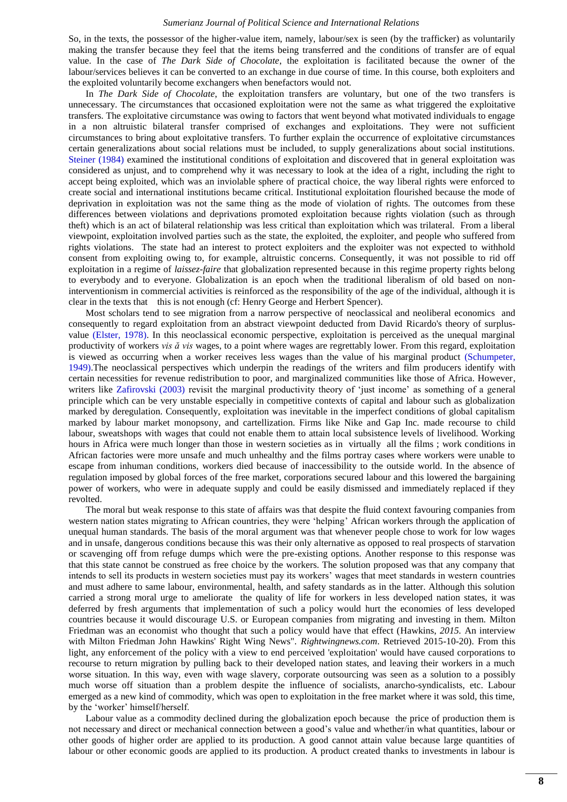So, in the texts, the possessor of the higher-value item, namely, labour/sex is seen (by the trafficker) as voluntarily making the transfer because they feel that the items being transferred and the conditions of transfer are of equal value. In the case of *The Dark Side of Chocolate*, the exploitation is facilitated because the owner of the labour/services believes it can be converted to an exchange in due course of time. In this course, both exploiters and the exploited voluntarily become exchangers when benefactors would not.

In *The Dark Side of Chocolate*, the exploitation transfers are voluntary, but one of the two transfers is unnecessary. The circumstances that occasioned exploitation were not the same as what triggered the exploitative transfers. The exploitative circumstance was owing to factors that went beyond what motivated individuals to engage in a non altruistic bilateral transfer comprised of exchanges and exploitations. They were not sufficient circumstances to bring about exploitative transfers. To further explain the occurrence of exploitative circumstances certain generalizations about social relations must be included, to supply generalizations about social institutions. [Steiner \(1984\)](#page-13-24) examined the institutional conditions of exploitation and discovered that in general exploitation was considered as unjust, and to comprehend why it was necessary to look at the idea of a right, including the right to accept being exploited, which was an inviolable sphere of practical choice, the way liberal rights were enforced to create social and international institutions became critical. Institutional exploitation flourished because the mode of deprivation in exploitation was not the same thing as the mode of violation of rights. The outcomes from these differences between violations and deprivations promoted exploitation because rights violation (such as through theft) which is an act of bilateral relationship was less critical than exploitation which was trilateral. From a liberal viewpoint, exploitation involved parties such as the state, the exploited, the exploiter, and people who suffered from rights violations. The state had an interest to protect exploiters and the exploiter was not expected to withhold consent from exploiting owing to, for example, altruistic concerns. Consequently, it was not possible to rid off exploitation in a regime of *[laissez-faire](https://en.wikipedia.org/wiki/Laissez-faire)* that globalization represented because in this regime property rights belong to everybody and to everyone. Globalization is an epoch when the traditional liberalism of old based on noninterventionism in commercial activities is reinforced as the responsibility of the age of the individual, although it is clear in the texts that this is not enough (cf: Henry George and Herbert Spencer).

Most scholars tend to see migration from a narrow perspective of [neoclassical and neoliberal economics](https://en.wikipedia.org/wiki/Neoclassical_economics) and consequently to regard exploitation from an abstract viewpoint deducted from David [Ricardo's theory of surplus](https://en.wikipedia.org/wiki/David_Ricardo#Ricardo.27s_theories_of_wages_and_profits)[value](https://en.wikipedia.org/wiki/David_Ricardo#Ricardo.27s_theories_of_wages_and_profits) [\(Elster, 1978\)](#page-13-25). In this neoclassical economic perspective, exploitation is perceived as the unequal marginal productivity of workers *vis ă vis* wages, to a point where wages are regrettably lower. From this regard, exploitation is viewed as occurring when a worker receives less wages than the value of his marginal product [\(Schumpeter,](#page-13-26)  [1949\)](#page-13-26).The neoclassical perspectives which underpin the readings of the writers and film producers identify with certain necessities for revenue redistribution to poor, and marginalized communities like those of Africa. However, writers like [Zafirovski \(2003\)](#page-13-27) revisit the marginal productivity theory of 'just income' as something of a general principle which can be very unstable especially in competitive contexts of capital and labour such as globalization marked by deregulation. Consequently, exploitation was inevitable in the imperfect conditions of global capitalism marked by labour market [monopsony,](https://en.wikipedia.org/wiki/Monopsony) and [cartellization.](https://en.wikipedia.org/wiki/Cartel) Firms like [Nike](https://en.wikipedia.org/wiki/Nike,_Inc.) and [Gap Inc.](https://en.wikipedia.org/wiki/Gap_%28clothing_retailer%29) made recourse to [child](https://en.wikipedia.org/wiki/Child_labour)  [labour,](https://en.wikipedia.org/wiki/Child_labour) [sweatshops](https://en.wikipedia.org/wiki/Sweatshop) with wages that could not enable them to attain local subsistence levels of livelihood. Working hours in Africa were much longer than those in western societies as in virtually all the films ; work conditions in African factories were more unsafe and much unhealthy and the films portray cases where workers were unable to escape from inhuman conditions, workers died because of inaccessibility to the outside world. In the absence of regulation imposed by global forces of the free market, corporations secured labour and this lowered the bargaining power of workers, who were in adequate supply and could be easily dismissed and immediately replaced if they revolted.

The moral but weak response to this state of affairs was that despite the fluid context favouring companies from western nation states migrating to African countries, they were 'helping' African workers through the application of unequal human standards. The basis of the moral argument was that whenever people chose to work for low wages and in unsafe, dangerous conditions because this was their only alternative as opposed to real prospects of starvation or scavenging off from refuge dumps which were the pre-existing options. Another response to this response was that this state cannot be construed as free choice by the workers. The solution proposed was that any company that intends to sell its products in western societies must pay its workers' wages that meet standards in western countries and must adhere to same labour, environmental, health, and safety standards as in the latter. Although this solution carried a strong moral urge to ameliorate the [quality of life](https://en.wikipedia.org/wiki/Quality_of_life) for workers in less developed nation states, it was deferred by fresh arguments that implementation of such a policy would hurt the economies of less developed countries because it would discourage U.S. or European companies from migrating and investing in them. [Milton](https://en.wikipedia.org/wiki/Milton_Friedman)  [Friedman](https://en.wikipedia.org/wiki/Milton_Friedman) was an economist who thought that such a policy would have that effect (Hawkins, *2015.* [An interview](http://www.rightwingnews.com/interviews/friedman.php)  [with Milton Friedman John Hawkins' Right Wing News"](http://www.rightwingnews.com/interviews/friedman.php)*. Rightwingnews.com*. Retrieved 2015-10-20). From this light, any enforcement of the policy with a view to end perceived 'exploitation' would have caused corporations to recourse to return migration by pulling back to their developed nation states, and leaving their workers in a much worse situation. In this way, even with [wage slavery,](https://en.wikipedia.org/wiki/Labour_economics#wage_slavery) corporate outsourcing was seen as a solution to a possibly much worse off situation than a problem despite the influence of [socialists,](https://en.wikipedia.org/wiki/Socialism) [anarcho-syndicalists,](https://en.wikipedia.org/wiki/Anarcho-syndicalism) etc. Labour emerged as a new kind of commodity, which was open to exploitation in the free market where it was sold, this time, by the ‗worker' himself/herself.

Labour value as a commodity declined during the globalization epoch because the price of production them is not necessary and direct or mechanical connection between a good's value and whether/in what quantities, labour or other goods of higher order are applied to its production. A good cannot attain value because large quantities of labour or other economic goods are applied to its production. A product created thanks to investments in labour is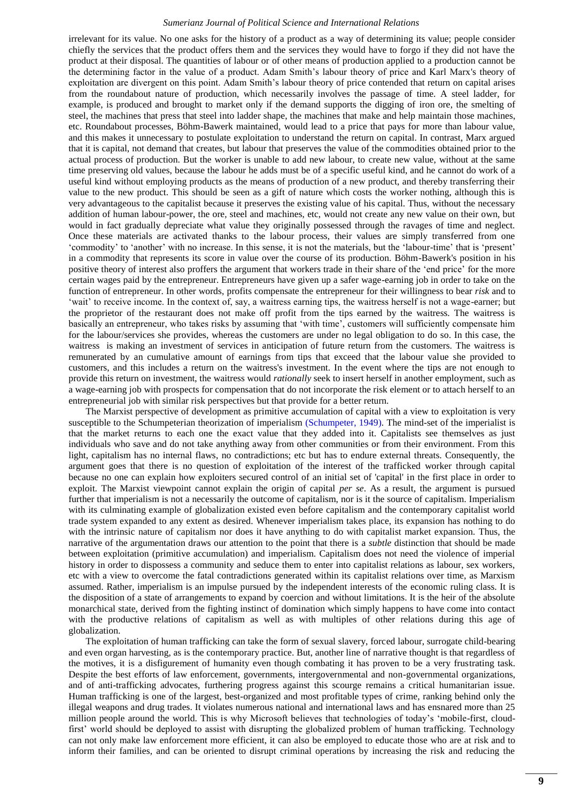irrelevant for its value. No one asks for the history of a product as a way of determining its value; people consider chiefly the services that the product offers them and the services they would have to forgo if they did not have the product at their disposal. The quantities of labour or of other means of production applied to a production cannot be the determining factor in the value of a product. Adam Smith's labour theory of price and Karl Marx's theory of exploitation are divergent on this point. Adam Smith's labour theory of price contended that return on capital arises from the roundabout nature of production, which necessarily involves the passage of time. A steel ladder, for example, is produced and brought to market only if the demand supports the digging of [iron ore,](https://en.wikipedia.org/wiki/Iron_ore) the smelting of [steel,](https://en.wikipedia.org/wiki/Steel) the machines that press that steel into ladder shape, the machines that make and help maintain those machines, etc. Roundabout processes, Böhm-Bawerk maintained, would lead to a price that pays for more than labour value, and this makes it unnecessary to postulate [exploitation](https://en.wikipedia.org/wiki/Exploitation_of_labour) to understand the return on capital. In contrast, Marx argued that it is [capital,](https://en.wikipedia.org/wiki/Das_Kapital) not demand that creates, but labour that preserves the value of the commodities obtained prior to the actual process of production. But the worker is unable to add new labour, to create new value, without at the same time preserving old values, because the labour he adds must be of a specific useful kind, and he cannot do work of a useful kind without employing products as the means of production of a new product, and thereby transferring their value to the new product. This should be seen as a gift of nature which costs the worker nothing, although this is very advantageous to the capitalist because it preserves the existing value of his capital. Thus, without the necessary addition of human labour-power, the ore, steel and machines, etc, would not create any new value on their own, but would in fact gradually depreciate what value they originally possessed through the ravages of time and neglect. Once these materials are activated thanks to the labour process, their values are simply transferred from one ‗commodity' to ‗another' with no increase. In this sense, it is not the materials, but the ‗labour-time' that is ‗present' in a commodity that represents its score in value over the course of its production. Böhm-Bawerk's position in his positive theory of interest also proffers the argument that workers trade in their share of the 'end price' for the more certain wages paid by the entrepreneur. Entrepreneurs have given up a safer wage-earning job in order to take on the function of entrepreneur. In other words, profits compensate the [entrepreneur](https://en.wikipedia.org/wiki/Innovation) for their willingness to bear *risk* and to ‗wait' to receive income. In the context of, say, a waitress earning tips, the waitress herself is not a wage-earner; but the proprietor of the restaurant does not make off profit from the tips earned by the waitress. The waitress is basically an entrepreneur, who takes risks by assuming that 'with time', customers will sufficiently compensate him for the labour/services she provides, whereas the customers are under no legal obligation to do so. In this case, the waitress is making an investment of services in anticipation of future return from the customers. The waitress is remunerated by an cumulative amount of earnings from tips that exceed that the labour value she provided to customers, and this includes a return on the waitress's investment. In the event where the tips are not enough to provide this return on investment, the waitress would *rationally* seek to insert herself in another employment, such as a wage-earning job with prospects for compensation that do not incorporate the risk element or to attach herself to an entrepreneurial job with similar risk perspectives but that provide for a better return.

The Marxist perspective of development as primitive accumulation of capital with a view to [exploitation](https://en.wikipedia.org/wiki/Exploitation_of_labour) is very susceptible to the [Schumpeteri](https://en.wikipedia.org/wiki/Joseph_Schumpeter)an theorization of imperialism [\(Schumpeter, 1949\)](#page-13-26). The mind-set of the imperialist is that the market returns to each one the exact value that they added into it. Capitalists see themselves as just individuals who save and do not take anything away from other communities or from their environment. From this light, capitalism has no internal flaws, no contradictions; etc but has to endure external threats. Consequently, the argument goes that there is no question of [exploitation o](https://en.wikipedia.org/wiki/Exploitation_theory)f the interest of the trafficked worker through capital because no one can explain how exploiters secured control of an initial set of 'capital' in the first place in order to exploit. The Marxist viewpoint cannot explain the origin of capital *per se*. As a result, the argument is pursued further that [imperialism](https://en.wikipedia.org/wiki/Imperialism) is not a necessarily the outcome of capitalism, nor is it the source of capitalism. Imperialism with its culminating example of globalization existed even before capitalism and the contemporary capitalist world trade system expanded to any extent as desired. Whenever imperialism takes place, its expansion has nothing to do with the intrinsic nature of [capitalism](https://en.wikipedia.org/wiki/Capitalism) nor does it have anything to do with capitalist market expansion. Thus, the narrative of the argumentation draws our attention to the point that there is a *subtle* distinction that should be made between exploitation (primitive accumulation) and imperialism. Capitalism does not need the violence of imperial history in order to dispossess a community and seduce them to enter into capitalist relations as labour, sex workers, etc with a view to overcome the fatal contradictions generated within its capitalist relations over time, as Marxism assumed. Rather, imperialism is an impulse pursued by the independent interests of the economic ruling class. It is the disposition of a state of arrangements to expand by coercion and without limitations. It is the heir of the absolute monarchical state, derived from the fighting instinct of domination which simply happens to have come into contact with the productive relations of capitalism as well as with multiples of other relations during this age of globalization.

The exploitation of human trafficking can take the form of sexual slavery, forced labour, surrogate child-bearing and even organ harvesting, as is the contemporary practice. But, another line of narrative thought is that regardless of the motives, it is a disfigurement of humanity even though combating it has proven to be a very frustrating task. Despite the best efforts of law enforcement, governments, intergovernmental and non-governmental organizations, and of anti-trafficking advocates, furthering progress against this scourge remains a critical humanitarian issue. Human trafficking is one of the largest, best-organized and most profitable types of crime, ranking behind only the illegal weapons and drug trades. It violates numerous national and international laws and has ensnared more than 25 million people around the world. This is why Microsoft believes that technologies of today's 'mobile-first, cloudfirst' world should be deployed to assist with disrupting the globalized problem of human trafficking. Technology can not only make law enforcement more efficient, it can also be employed to educate those who are at risk and to inform their families, and can be oriented to disrupt criminal operations by increasing the risk and reducing the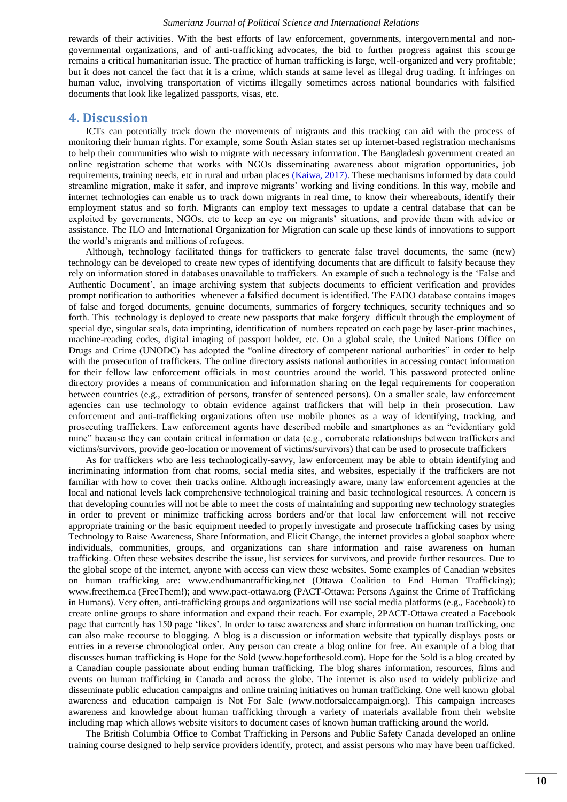rewards of their activities. With the best efforts of law enforcement, governments, intergovernmental and nongovernmental organizations, and of anti-trafficking advocates, the bid to further progress against this scourge remains a critical humanitarian issue. The practice of human trafficking is large, well-organized and very profitable; but it does not cancel the fact that it is a crime, which stands at same level as illegal drug trading. It infringes on human value, involving transportation of victims illegally sometimes across national boundaries with falsified documents that look like legalized passports, visas, etc.

### **4. Discussion**

ICTs can potentially track down the movements of migrants and this tracking can aid with the process of monitoring their human rights. For example, some South Asian states set up internet-based registration mechanisms to help their communities who wish to migrate with necessary information. The Bangladesh government created an online registration scheme that works with NGOs disseminating awareness about migration opportunities, job requirements, training needs, etc in rural and urban places [\(Kaiwa, 2017\)](#page-13-28). These mechanisms informed by [data](http://www.scidev.net/global/enterprise/data/) could streamline migration, make it safer, and improve migrants' working and living conditions. In this way, mobile and internet technologies can enable us to track down migrants in real time, to know their whereabouts, identify their employment status and so forth. Migrants can employ text messages to update a central database that can be exploited by governments, NGOs, etc to keep an eye on migrants' situations, and provide them with advice or assistance. The ILO and International Organization for Migration can scale up these kinds of innovations to support the world's migrants and millions of refugees.

Although, technology facilitated things for traffickers to generate false travel documents, the same (new) technology can be developed to create new types of identifying documents that are difficult to falsify because they rely on information stored in databases unavailable to traffickers. An example of such a technology is the 'False and Authentic Document', an image archiving system that subjects documents to efficient verification and provides prompt notification to authorities whenever a falsified document is identified. The FADO database contains images of false and forged documents, genuine documents, summaries of forgery techniques, security techniques and so forth. This technology is deployed to create new passports that make forgery difficult through the employment of special dye, singular seals, data imprinting, identification of numbers repeated on each page by laser-print machines, machine-reading codes, digital imaging of passport holder, etc. On a global scale, the United Nations Office on Drugs and Crime (UNODC) has adopted the "online directory of competent national authorities" in order to help with the prosecution of traffickers. The online directory assists national authorities in accessing contact information for their fellow law enforcement officials in most countries around the world. This password protected online directory provides a means of communication and information sharing on the legal requirements for cooperation between countries (e.g., extradition of persons, transfer of sentenced persons). On a smaller scale, law enforcement agencies can use technology to obtain evidence against traffickers that will help in their prosecution. Law enforcement and anti-trafficking organizations often use mobile phones as a way of identifying, tracking, and prosecuting traffickers. Law enforcement agents have described mobile and smartphones as an "evidentiary gold mine" because they can contain critical information or data (e.g., corroborate relationships between traffickers and victims/survivors, provide geo-location or movement of victims/survivors) that can be used to prosecute traffickers

As for traffickers who are less technologically-savvy, law enforcement may be able to obtain identifying and incriminating information from chat rooms, social media sites, and websites, especially if the traffickers are not familiar with how to cover their tracks online. Although increasingly aware, many law enforcement agencies at the local and national levels lack comprehensive technological training and basic technological resources. A concern is that developing countries will not be able to meet the costs of maintaining and supporting new technology strategies in order to prevent or minimize trafficking across borders and/or that local law enforcement will not receive appropriate training or the basic equipment needed to properly investigate and prosecute trafficking cases by using Technology to Raise Awareness, Share Information, and Elicit Change, the internet provides a global soapbox where individuals, communities, groups, and organizations can share information and raise awareness on human trafficking. Often these websites describe the issue, list services for survivors, and provide further resources. Due to the global scope of the internet, anyone with access can view these websites. Some examples of Canadian websites on human trafficking are: [www.endhumantrafficking.net](http://www.endhumantrafficking.net/) (Ottawa Coalition to End Human Trafficking); www.freethem.ca (FreeThem!); and [www.pact-ottawa.org](http://www.pact-ottawa.org/) (PACT-Ottawa: Persons Against the Crime of Trafficking in Humans). Very often, anti-trafficking groups and organizations will use social media platforms (e.g., Facebook) to create online groups to share information and expand their reach. For example, 2PACT-Ottawa created a Facebook page that currently has 150 page 'likes'. In order to raise awareness and share information on human trafficking, one can also make recourse to blogging. A blog is a discussion or information website that typically displays posts or entries in a reverse chronological order. Any person can create a blog online for free. An example of a blog that discusses human trafficking is Hope for the Sold (www.hopeforthesold.com). Hope for the Sold is a blog created by a Canadian couple passionate about ending human trafficking. The blog shares information, resources, films and events on human trafficking in Canada and across the globe. The internet is also used to widely publicize and disseminate public education campaigns and online training initiatives on human trafficking. One well known global awareness and education campaign is Not For Sale (www.notforsalecampaign.org). This campaign increases awareness and knowledge about human trafficking through a variety of materials available from their website including map which allows website visitors to document cases of known human trafficking around the world.

The British Columbia Office to Combat Trafficking in Persons and Public Safety Canada developed an online training course designed to help service providers identify, protect, and assist persons who may have been trafficked.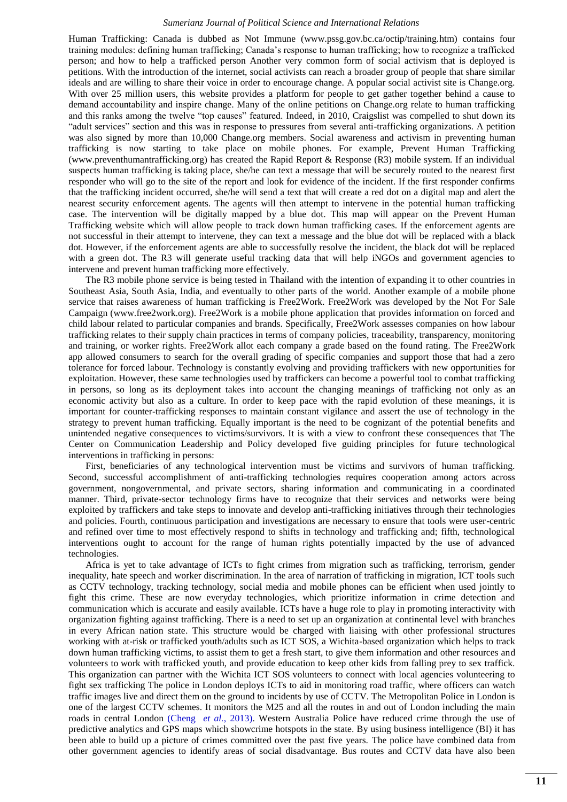Human Trafficking: Canada is dubbed as Not Immune (www.pssg.gov.bc.ca/octip/training.htm) contains four training modules: defining human trafficking; Canada's response to human trafficking; how to recognize a trafficked person; and how to help a trafficked person Another very common form of social activism that is deployed is petitions. With the introduction of the internet, social activists can reach a broader group of people that share similar ideals and are willing to share their voice in order to encourage change. A popular social activist site is Change.org. With over 25 million users, this website provides a platform for people to get gather together behind a cause to demand accountability and inspire change. Many of the online petitions on Change.org relate to human trafficking and this ranks among the twelve "top causes" featured. Indeed, in 2010, Craigslist was compelled to shut down its ―adult services‖ section and this was in response to pressures from several anti-trafficking organizations. A petition was also signed by more than 10,000 Change.org members. Social awareness and activism in preventing human trafficking is now starting to take place on mobile phones. For example, Prevent Human Trafficking (www.preventhumantrafficking.org) has created the Rapid Report & Response (R3) mobile system. If an individual suspects human trafficking is taking place, she/he can text a message that will be securely routed to the nearest first responder who will go to the site of the report and look for evidence of the incident. If the first responder confirms that the trafficking incident occurred, she/he will send a text that will create a red dot on a digital map and alert the nearest security enforcement agents. The agents will then attempt to intervene in the potential human trafficking case. The intervention will be digitally mapped by a blue dot. This map will appear on the Prevent Human Trafficking website which will allow people to track down human trafficking cases. If the enforcement agents are not successful in their attempt to intervene, they can text a message and the blue dot will be replaced with a black dot. However, if the enforcement agents are able to successfully resolve the incident, the black dot will be replaced with a green dot. The R3 will generate useful tracking data that will help iNGOs and government agencies to intervene and prevent human trafficking more effectively.

The R3 mobile phone service is being tested in Thailand with the intention of expanding it to other countries in Southeast Asia, South Asia, India, and eventually to other parts of the world. Another example of a mobile phone service that raises awareness of human trafficking is Free2Work. Free2Work was developed by the Not For Sale Campaign (www.free2work.org). Free2Work is a mobile phone application that provides information on forced and child labour related to particular companies and brands. Specifically, Free2Work assesses companies on how labour trafficking relates to their supply chain practices in terms of company policies, traceability, transparency, monitoring and training, or worker rights. Free2Work allot each company a grade based on the found rating. The Free2Work app allowed consumers to search for the overall grading of specific companies and support those that had a zero tolerance for forced labour. Technology is constantly evolving and providing traffickers with new opportunities for exploitation. However, these same technologies used by traffickers can become a powerful tool to combat trafficking in persons, so long as its deployment takes into account the changing meanings of trafficking not only as an economic activity but also as a culture. In order to keep pace with the rapid evolution of these meanings, it is important for counter-trafficking responses to maintain constant vigilance and assert the use of technology in the strategy to prevent human trafficking. Equally important is the need to be cognizant of the potential benefits and unintended negative consequences to victims/survivors. It is with a view to confront these consequences that The Center on Communication Leadership and Policy developed five guiding principles for future technological interventions in trafficking in persons:

First, beneficiaries of any technological intervention must be victims and survivors of human trafficking. Second, successful accomplishment of anti-trafficking technologies requires cooperation among actors across government, nongovernmental, and private sectors, sharing information and communicating in a coordinated manner. Third, private-sector technology firms have to recognize that their services and networks were being exploited by traffickers and take steps to innovate and develop anti-trafficking initiatives through their technologies and policies. Fourth, continuous participation and investigations are necessary to ensure that tools were user-centric and refined over time to most effectively respond to shifts in technology and trafficking and; fifth, technological interventions ought to account for the range of human rights potentially impacted by the use of advanced technologies.

Africa is yet to take advantage of ICTs to fight crimes from migration such as trafficking, terrorism, gender inequality, hate speech and worker discrimination. In the area of narration of trafficking in migration, ICT tools such as CCTV technology, tracking technology, social media and mobile phones can be efficient when used jointly to fight this crime. These are now everyday technologies, which prioritize information in crime detection and communication which is accurate and easily available. ICTs have a huge role to play in promoting interactivity with organization fighting against trafficking. There is a need to set up an organization at continental level with branches in every African nation state. This structure would be charged with liaising with other professional structures working with at-risk or trafficked youth/adults such as ICT SOS, a Wichita-based organization which helps to track down human trafficking victims, to assist them to get a fresh start, to give them information and other resources and volunteers to work with trafficked youth, and provide education to keep other kids from falling prey to sex traffick. This organization can partner with the Wichita ICT SOS volunteers to connect with local agencies volunteering to fight sex trafficking The police in London deploys ICTs to aid in monitoring road traffic, where officers can watch traffic images live and direct them on the ground to incidents by use of CCTV. The Metropolitan Police in London is one of the largest CCTV schemes. It monitors the M25 and all the routes in and out of London including the main roads in central London (Cheng *[et al.](#page-13-29)*, 2013). Western Australia Police have reduced crime through the use of predictive analytics and GPS maps which showcrime hotspots in the state. By using business intelligence (BI) it has been able to build up a picture of crimes committed over the past five years. The police have combined data from other government agencies to identify areas of social disadvantage. Bus routes and CCTV data have also been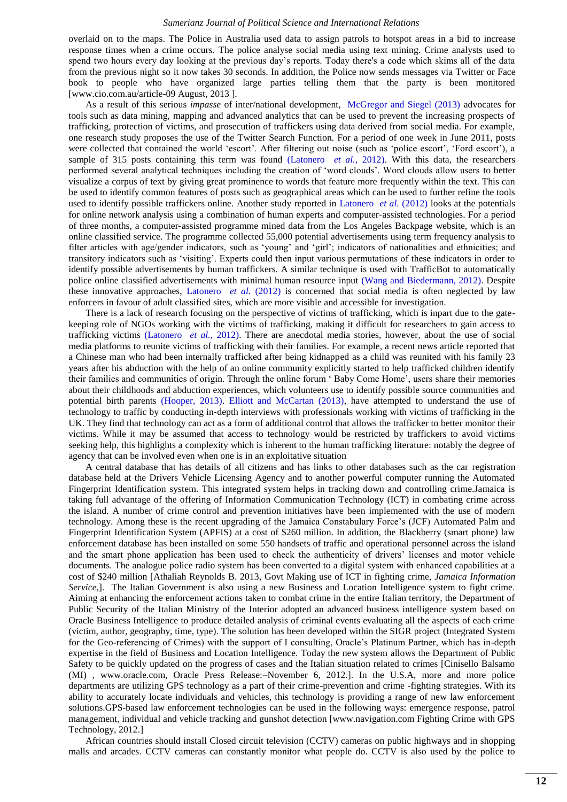overlaid on to the maps. The Police in Australia used data to assign patrols to hotspot areas in a bid to increase response times when a crime occurs. The police analyse social media using text mining. Crime analysts used to spend two hours every day looking at the previous day's reports. Today there's a code which skims all of the data from the previous night so it now takes 30 seconds. In addition, the Police now sends messages via Twitter or Face book to people who have organized large parties telling them that the party is been monitored [www.cio.com.au/article-09 August, 2013 ].

As a result of this serious *impasse* of inter/national development, [McGregor and Siegel \(2013\)](#page-13-30) advocates for tools such as data mining, mapping and advanced analytics that can be used to prevent the increasing prospects of trafficking, protection of victims, and prosecution of traffickers using data derived from social media. For example, one research study proposes the use of the Twitter Search Function. For a period of one week in June 2011, posts were collected that contained the world 'escort'. After filtering out noise (such as 'police escort', 'Ford escort'), a sample of 315 posts containing this term was found [\(Latonero](#page-13-4) *et al.*, 2012). With this data, the researchers performed several analytical techniques including the creation of ‗word clouds'. Word clouds allow users to better visualize a corpus of text by giving great prominence to words that feature more frequently within the text. This can be used to identify common features of posts such as geographical areas which can be used to further refine the tools used to identify possible traffickers online. Another study reported in [Latonero](#page-13-4) *et al.* (2012) looks at the potentials for online network analysis using a combination of human experts and computer‐assisted technologies. For a period of three months, a computer‐assisted programme mined data from the Los Angeles Backpage website, which is an online classified service. The programme collected 55,000 potential advertisements using term frequency analysis to filter articles with age/gender indicators, such as ‗young' and ‗girl'; indicators of nationalities and ethnicities; and transitory indicators such as ‗visiting'. Experts could then input various permutations of these indicators in order to identify possible advertisements by human traffickers. A similar technique is used with TrafficBot to automatically police online classified advertisements with minimal human resource input [\(Wang and Biedermann, 2012\)](#page-13-31). Despite these innovative approaches, [Latonero](#page-13-4) *et al.* (2012) is concerned that social media is often neglected by law enforcers in favour of adult classified sites, which are more visible and accessible for investigation.

There is a lack of research focusing on the perspective of victims of trafficking, which is inpart due to the gatekeeping role of NGOs working with the victims of trafficking, making it difficult for researchers to gain access to trafficking victims [\(Latonero](#page-13-4) *et al.*, 2012). There are anecdotal media stories, however, about the use of social media platforms to reunite victims of trafficking with their families. For example, a recent news article reported that a Chinese man who had been internally trafficked after being kidnapped as a child was reunited with his family 23 years after his abduction with the help of an online community explicitly started to help trafficked children identify their families and communities of origin. Through the online forum 'Baby Come Home', users share their memories about their childhoods and abduction experiences, which volunteers use to identify possible source communities and potential birth parents [\(Hooper, 2013\)](#page-13-32). [Elliott and McCartan \(2013\),](#page-13-33) have attempted to understand the use of technology to traffic by conducting in‐depth interviews with professionals working with victims of trafficking in the UK. They find that technology can act as a form of additional control that allows the trafficker to better monitor their victims. While it may be assumed that access to technology would be restricted by traffickers to avoid victims seeking help, this highlights a complexity which is inherent to the human trafficking literature: notably the degree of agency that can be involved even when one is in an exploitative situation

A central database that has details of all citizens and has links to other databases such as the car registration database held at the Drivers Vehicle Licensing Agency and to another powerful computer running the Automated Fingerprint Identification system. This integrated system helps in tracking down and controlling crime.Jamaica is taking full advantage of the offering of Information Communication Technology (ICT) in combating crime across the island. A number of crime control and prevention initiatives have been implemented with the use of modern technology. Among these is the recent upgrading of the Jamaica Constabulary Force's (JCF) Automated Palm and Fingerprint Identification System (APFIS) at a cost of \$260 million. In addition, the Blackberry (smart phone) law enforcement database has been installed on some 550 handsets of traffic and operational personnel across the island and the smart phone application has been used to check the authenticity of drivers' licenses and motor vehicle documents. The analogue police radio system has been converted to a digital system with enhanced capabilities at a cost of \$240 million [Athaliah Reynolds B. 2013, Govt Making use of ICT in fighting crime, *Jamaica Information Service*,]. The Italian Government is also using a new Business and Location Intelligence system to fight crime. Aiming at enhancing the enforcement actions taken to combat crime in the entire Italian territory, the Department of Public Security of the Italian Ministry of the Interior adopted an advanced business intelligence system based on Oracle Business Intelligence to produce detailed analysis of criminal events evaluating all the aspects of each crime (victim, author, geography, time, type). The solution has been developed within the SIGR project (Integrated System for the Geo-referencing of Crimes) with the support of I consulting, Oracle's Platinum Partner, which has in-depth expertise in the field of Business and Location Intelligence. Today the new system allows the Department of Public Safety to be quickly updated on the progress of cases and the Italian situation related to crimes [Cinisello Balsamo (MI) , www.oracle.com, Oracle Press Release:–November 6, 2012.]. In the U.S.A, more and more police departments are utilizing GPS technology as a part of their crime-prevention and crime -fighting strategies. With its ability to accurately locate individuals and vehicles, this technology is providing a range of new law enforcement solutions.GPS-based law enforcement technologies can be used in the following ways: emergence response, patrol management, individual and vehicle tracking and gunshot detection [www.navigation.com Fighting Crime with GPS Technology, 2012.]

African countries should install Closed circuit television (CCTV) cameras on public highways and in shopping malls and arcades. CCTV cameras can constantly monitor what people do. CCTV is also used by the police to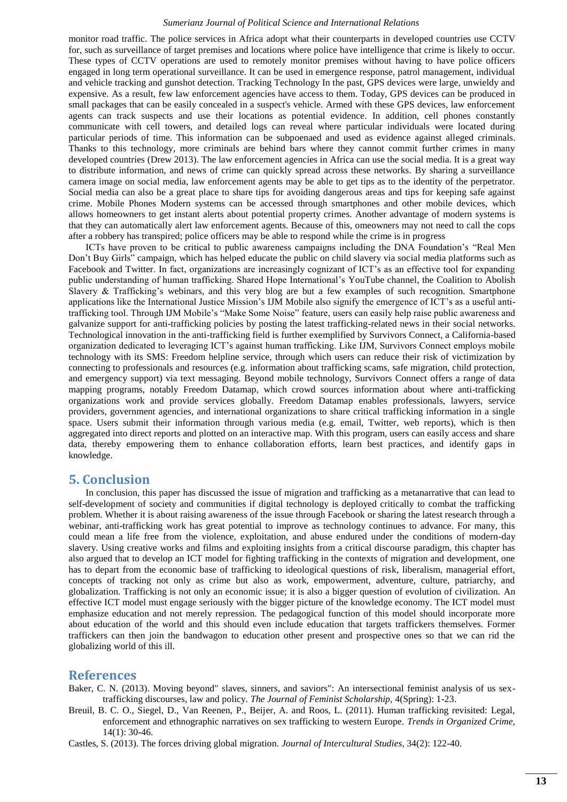monitor road traffic. The police services in Africa adopt what their counterparts in developed countries use CCTV for, such as surveillance of target premises and locations where police have intelligence that crime is likely to occur. These types of CCTV operations are used to remotely monitor premises without having to have police officers engaged in long term operational surveillance. It can be used in emergence response, patrol management, individual and vehicle tracking and gunshot detection. Tracking Technology In the past, GPS devices were large, unwieldy and expensive. As a result, few law enforcement agencies have access to them. Today, GPS devices can be produced in small packages that can be easily concealed in a suspect's vehicle. Armed with these GPS devices, law enforcement agents can track suspects and use their locations as potential evidence. In addition, cell phones constantly communicate with cell towers, and detailed logs can reveal where particular individuals were located during particular periods of time. This information can be subpoenaed and used as evidence against alleged criminals. Thanks to this technology, more criminals are behind bars where they cannot commit further crimes in many developed countries (Drew 2013). The law enforcement agencies in Africa can use the social media. It is a great way to distribute information, and news of crime can quickly spread across these networks. By sharing a surveillance camera image on social media, law enforcement agents may be able to get tips as to the identity of the perpetrator. Social media can also be a great place to share tips for avoiding dangerous areas and tips for keeping safe against crime. Mobile Phones Modern systems can be accessed through smartphones and other mobile devices, which allows homeowners to get instant alerts about potential property crimes. Another advantage of modern systems is that they can automatically alert law enforcement agents. Because of this, omeowners may not need to call the cops after a robbery has transpired; police officers may be able to respond while the crime is in progress

ICTs have proven to be critical to public awareness campaigns including the DNA Foundation's "Real Men Don't Buy Girls" campaign, which has helped educate the public on child slavery via social media platforms such as Facebook and Twitter. In fact, organizations are increasingly cognizant of ICT's as an effective tool for expanding public understanding of human trafficking. Shared Hope International's [YouTube channel,](http://www.youtube.com/user/SharedHope) the Coalition to Abolish Slavery & Trafficking's [webinars,](http://www.castla.org/training#webinars) and this very blog are but a few examples of such recognition. Smartphone applications like the International Justice Mission's [IJM Mobile](http://www.ijm.org/ijmmobile) also signify the emergence of ICT's as a useful antitrafficking tool. Through IJM Mobile's "Make Some Noise" feature, users can easily help raise public awareness and galvanize support for anti-trafficking policies by posting the latest trafficking-related news in their social networks. Technological innovation in the anti-trafficking field is further exemplified by Survivors Connect, a California-based organization dedicated to leveraging ICT's against human trafficking. Like IJM, Survivors Connect employs mobile technology with its [SMS: Freedom](http://www.survivorsconnect.org/our-work/sms-freedom) helpline service, through which users can reduce their risk of victimization by connecting to professionals and resources (e.g. information about trafficking scams, safe migration, child protection, and emergency support) via text messaging. Beyond mobile technology, Survivors Connect offers a range of data mapping programs, notably [Freedom Datamap,](http://www.survivorsconnect.org/our-work/data-maps-crowdsourcing/datamap) which crowd sources information about where anti-trafficking organizations work and provide services globally. Freedom Datamap enables professionals, lawyers, service providers, government agencies, and international organizations to share critical trafficking information in a single space. Users submit their information through various media (e.g. email, Twitter, web reports), which is then aggregated into direct reports and plotted on an interactive map. With this program, users can easily access and share data, thereby empowering them to enhance collaboration efforts, learn best practices, and identify gaps in knowledge.

## **5. Conclusion**

In conclusion, this paper has discussed the issue of migration and trafficking as a metanarrative that can lead to self-development of society and communities if digital technology is deployed critically to combat the trafficking problem. Whether it is about raising awareness of the issue through Facebook or sharing the latest research through a webinar, anti-trafficking work has great potential to improve as technology continues to advance. For many, this could mean a life free from the violence, exploitation, and abuse endured under the conditions of modern-day slavery. Using creative works and films and exploiting insights from a critical discourse paradigm, this chapter has also argued that to develop an ICT model for fighting trafficking in the contexts of migration and development, one has to depart from the economic base of trafficking to ideological questions of risk, liberalism, managerial effort, concepts of tracking not only as crime but also as work, empowerment, adventure, culture, patriarchy, and globalization. Trafficking is not only an economic issue; it is also a bigger question of evolution of civilization. An effective ICT model must engage seriously with the bigger picture of the knowledge economy. The ICT model must emphasize education and not merely repression. The pedagogical function of this model should incorporate more about education of the world and this should even include education that targets traffickers themselves. Former traffickers can then join the bandwagon to education other present and prospective ones so that we can rid the globalizing world of this ill.

### **References**

<span id="page-12-2"></span>Baker, C. N. (2013). Moving beyond" slaves, sinners, and saviors": An intersectional feminist analysis of us sextrafficking discourses, law and policy. *The Journal of Feminist Scholarship,* 4(Spring): 1-23.

<span id="page-12-1"></span>Breuil, B. C. O., Siegel, D., Van Reenen, P., Beijer, A. and Roos, L. (2011). Human trafficking revisited: Legal, enforcement and ethnographic narratives on sex trafficking to western Europe. *Trends in Organized Crime,* 14(1): 30-46.

<span id="page-12-0"></span>Castles, S. (2013). The forces driving global migration. *Journal of Intercultural Studies,* 34(2): 122-40.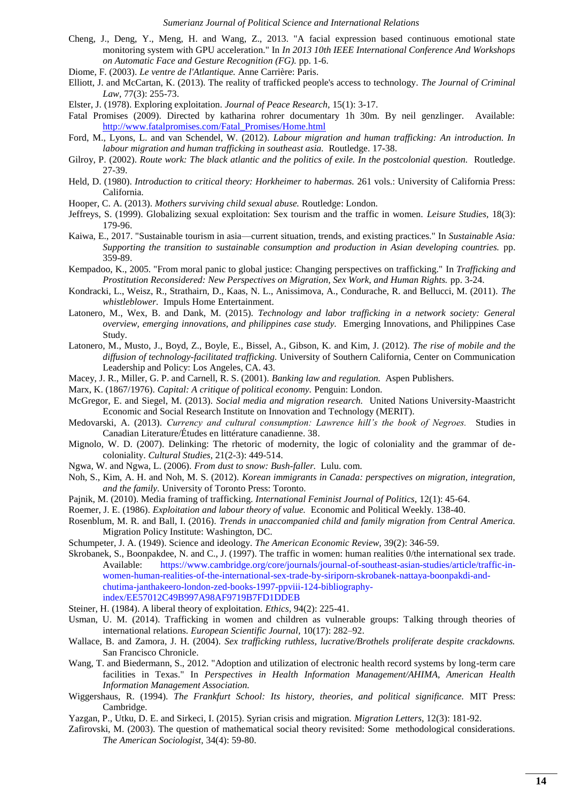- <span id="page-13-29"></span>Cheng, J., Deng, Y., Meng, H. and Wang, Z., 2013. "A facial expression based continuous emotional state monitoring system with GPU acceleration." In *In 2013 10th IEEE International Conference And Workshops on Automatic Face and Gesture Recognition (FG).* pp. 1-6.
- <span id="page-13-10"></span>Diome, F. (2003). *Le ventre de l'Atlantique.* Anne Carrière: Paris.
- <span id="page-13-33"></span>Elliott, J. and McCartan, K. (2013). The reality of trafficked people's access to technology. *The Journal of Criminal Law,* 77(3): 255-73.
- <span id="page-13-25"></span>Elster, J. (1978). Exploring exploitation. *Journal of Peace Research,* 15(1): 3-17.
- <span id="page-13-20"></span>Fatal Promises (2009). Directed by katharina rohrer documentary 1h 30m. By neil genzlinger. Available: [http://www.fatalpromises.com/Fatal\\_Promises/Home.html](http://www.fatalpromises.com/Fatal_Promises/Home.html)
- <span id="page-13-12"></span>Ford, M., Lyons, L. and van Schendel, W. (2012). *Labour migration and human trafficking: An introduction. In labour migration and human trafficking in southeast asia.* Routledge. 17-38.
- <span id="page-13-17"></span>Gilroy, P. (2002). *Route work: The black atlantic and the politics of exile. In the postcolonial question.* Routledge. 27-39.
- <span id="page-13-5"></span>Held, D. (1980). *Introduction to critical theory: Horkheimer to habermas.* 261 vols.: University of California Press: California.
- <span id="page-13-32"></span>Hooper, C. A. (2013). *Mothers surviving child sexual abuse.* Routledge: London.
- <span id="page-13-22"></span>Jeffreys, S. (1999). Globalizing sexual exploitation: Sex tourism and the traffic in women. *Leisure Studies,* 18(3): 179-96.
- <span id="page-13-28"></span>Kaiwa, E., 2017. "Sustainable tourism in asia—current situation, trends, and existing practices." In *Sustainable Asia: Supporting the transition to sustainable consumption and production in Asian developing countries.* pp. 359-89.
- <span id="page-13-21"></span>Kempadoo, K., 2005. "From moral panic to global justice: Changing perspectives on trafficking." In *Trafficking and Prostitution Reconsidered: New Perspectives on Migration, Sex Work, and Human Rights.* pp. 3-24.
- <span id="page-13-19"></span>Kondracki, L., Weisz, R., Strathairn, D., Kaas, N. L., Anissimova, A., Condurache, R. and Bellucci, M. (2011). *The whistleblower.* Impuls Home Entertainment.
- <span id="page-13-3"></span>Latonero, M., Wex, B. and Dank, M. (2015). *Technology and labor trafficking in a network society: General overview, emerging innovations, and philippines case study.* Emerging Innovations, and Philippines Case Study.
- <span id="page-13-4"></span>Latonero, M., Musto, J., Boyd, Z., Boyle, E., Bissel, A., Gibson, K. and Kim, J. (2012). *The rise of mobile and the diffusion of technology-facilitated trafficking.* University of Southern California, Center on Communication Leadership and Policy: Los Angeles, CA. 43.
- <span id="page-13-6"></span>Macey, J. R., Miller, G. P. and Carnell, R. S. (2001). *Banking law and regulation.* Aspen Publishers.
- <span id="page-13-7"></span>Marx, K. (1867/1976). *Capital: A critique of political economy.* Penguin: London.
- <span id="page-13-30"></span>McGregor, E. and Siegel, M. (2013). *Social media and migration research.* United Nations University-Maastricht Economic and Social Research Institute on Innovation and Technology (MERIT).
- <span id="page-13-15"></span>Medovarski, A. (2013). *Currency and cultural consumption: Lawrence hill"s the book of Negroes.* Studies in Canadian Literature/Études en littérature canadienne. 38.
- <span id="page-13-14"></span>Mignolo, W. D. (2007). Delinking: The rhetoric of modernity, the logic of coloniality and the grammar of decoloniality. *Cultural Studies,* 21(2-3): 449-514.
- <span id="page-13-11"></span>Ngwa, W. and Ngwa, L. (2006). *From dust to snow: Bush-faller.* Lulu. com.
- <span id="page-13-0"></span>Noh, S., Kim, A. H. and Noh, M. S. (2012). *Korean immigrants in Canada: perspectives on migration, integration, and the family.* University of Toronto Press: Toronto.
- <span id="page-13-13"></span>Pajnik, M. (2010). Media framing of trafficking. *International Feminist Journal of Politics,* 12(1): 45-64.
- <span id="page-13-23"></span>Roemer, J. E. (1986). *Exploitation and labour theory of value.* Economic and Political Weekly. 138-40.
- <span id="page-13-1"></span>Rosenblum, M. R. and Ball, I. (2016). *Trends in unaccompanied child and family migration from Central America.* Migration Policy Institute: Washington, DC.
- <span id="page-13-26"></span>Schumpeter, J. A. (1949). Science and ideology. *The American Economic Review,* 39(2): 346-59.
- <span id="page-13-9"></span>Skrobanek, S., Boonpakdee, N. and C., J. (1997). The traffic in women: human realities 0/the international sex trade. Available: [https://www.cambridge.org/core/journals/journal-of-southeast-asian-studies/article/traffic-in](http://www.cambridge.org/core/journals/journal-of-southeast-asian-studies/article/traffic-in-women-human-realities-of-the-international-sex-trade-by-siriporn-skrobanek-nattaya-boonpakdi-and-chutima-janthakeero-london-zed-books-1997-ppviii-124-bibliography-index/EE57012C49B997A98AF9719B7FD1DDEB)[women-human-realities-of-the-international-sex-trade-by-siriporn-skrobanek-nattaya-boonpakdi-and](http://www.cambridge.org/core/journals/journal-of-southeast-asian-studies/article/traffic-in-women-human-realities-of-the-international-sex-trade-by-siriporn-skrobanek-nattaya-boonpakdi-and-chutima-janthakeero-london-zed-books-1997-ppviii-124-bibliography-index/EE57012C49B997A98AF9719B7FD1DDEB)[chutima-janthakeero-london-zed-books-1997-ppviii-124-bibliography](http://www.cambridge.org/core/journals/journal-of-southeast-asian-studies/article/traffic-in-women-human-realities-of-the-international-sex-trade-by-siriporn-skrobanek-nattaya-boonpakdi-and-chutima-janthakeero-london-zed-books-1997-ppviii-124-bibliography-index/EE57012C49B997A98AF9719B7FD1DDEB)[index/EE57012C49B997A98AF9719B7FD1DDEB](http://www.cambridge.org/core/journals/journal-of-southeast-asian-studies/article/traffic-in-women-human-realities-of-the-international-sex-trade-by-siriporn-skrobanek-nattaya-boonpakdi-and-chutima-janthakeero-london-zed-books-1997-ppviii-124-bibliography-index/EE57012C49B997A98AF9719B7FD1DDEB)
- <span id="page-13-24"></span>Steiner, H. (1984). A liberal theory of exploitation. *Ethics,* 94(2): 225-41.
- <span id="page-13-18"></span>Usman, U. M. (2014). Trafficking in women and children as vulnerable groups: Talking through theories of international relations. *European Scientific Journal,* 10(17): 282–92.
- <span id="page-13-16"></span>Wallace, B. and Zamora, J. H. (2004). *Sex trafficking ruthless, lucrative/Brothels proliferate despite crackdowns.*  San Francisco Chronicle.
- <span id="page-13-31"></span>Wang, T. and Biedermann, S., 2012. "Adoption and utilization of electronic health record systems by long-term care facilities in Texas." In *Perspectives in Health Information Management/AHIMA, American Health Information Management Association.*
- <span id="page-13-8"></span>Wiggershaus, R. (1994). *The Frankfurt School: Its history, theories, and political significance.* MIT Press: Cambridge.
- <span id="page-13-2"></span>Yazgan, P., Utku, D. E. and Sirkeci, I. (2015). Syrian crisis and migration. *Migration Letters,* 12(3): 181-92.
- <span id="page-13-27"></span>Zafirovski, M. (2003). The question of mathematical social theory revisited: Some methodological considerations. *The American Sociologist,* 34(4): 59-80.